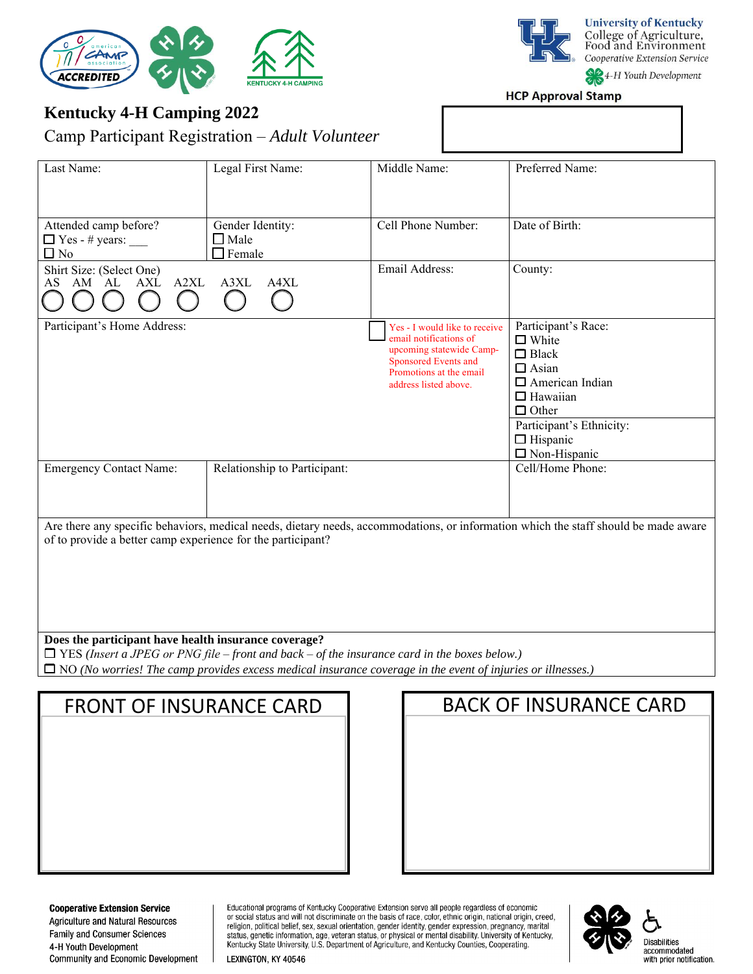

**University of Kentucky** College of Agriculture,<br>Food and Environment Cooperative Extension Service 4-H Youth Development

**HCP Approval Stamp** 

# **Kentucky 4-H Camping 2022**

Camp Participant Registration – *Adult Volunteer*

| Last Name:                                                                                                                                                                                         | Legal First Name:                                   | Middle Name:                                                                                                                                                    | Preferred Name:                                                                                                                  |  |  |
|----------------------------------------------------------------------------------------------------------------------------------------------------------------------------------------------------|-----------------------------------------------------|-----------------------------------------------------------------------------------------------------------------------------------------------------------------|----------------------------------------------------------------------------------------------------------------------------------|--|--|
| Attended camp before?<br>$\Box$ Yes - # years:<br>$\square$ No                                                                                                                                     | Gender Identity:<br>$\square$ Male<br>$\Box$ Female | Cell Phone Number:                                                                                                                                              | Date of Birth:                                                                                                                   |  |  |
| Shirt Size: (Select One)<br>A2XL<br>AS AM AL<br>AXL                                                                                                                                                | A3XL<br>A4XL                                        | Email Address:                                                                                                                                                  | County:                                                                                                                          |  |  |
| Participant's Home Address:                                                                                                                                                                        |                                                     | Yes - I would like to receive<br>email notifications of<br>upcoming statewide Camp-<br>Sponsored Events and<br>Promotions at the email<br>address listed above. | Participant's Race:<br>$\Box$ White<br>$\Box$ Black<br>$\Box$ Asian<br>$\Box$ American Indian<br>$\Box$ Hawaiian<br>$\Box$ Other |  |  |
|                                                                                                                                                                                                    |                                                     |                                                                                                                                                                 | Participant's Ethnicity:<br>$\Box$ Hispanic<br>$\Box$ Non-Hispanic                                                               |  |  |
| <b>Emergency Contact Name:</b>                                                                                                                                                                     | Relationship to Participant:                        |                                                                                                                                                                 | Cell/Home Phone:                                                                                                                 |  |  |
| Are there any specific behaviors, medical needs, dietary needs, accommodations, or information which the staff should be made aware<br>of to provide a better camp experience for the participant? |                                                     |                                                                                                                                                                 |                                                                                                                                  |  |  |
| Does the participant have health insurance coverage?<br>$\Box$ YES (Insert a JPEG or PNG file – front and back – of the insurance card in the boxes below.)                                        |                                                     |                                                                                                                                                                 |                                                                                                                                  |  |  |
| $\Box$ NO (No worries! The camp provides excess medical insurance coverage in the event of injuries or illnesses.)                                                                                 |                                                     |                                                                                                                                                                 |                                                                                                                                  |  |  |
|                                                                                                                                                                                                    |                                                     |                                                                                                                                                                 |                                                                                                                                  |  |  |
| <b>BACK OF INSURANCE CARD</b><br><b>FRONT OF INSURANCE CARD</b>                                                                                                                                    |                                                     |                                                                                                                                                                 |                                                                                                                                  |  |  |

**Cooperative Extension Service** 

Agriculture and Natural Resources Family and Consumer Sciences 4-H Youth Development Community and Economic Development Educational programs of Kentucky Cooperative Extension serve all people regardless of economic<br>or social status and will not discriminate on the basis of race, color, ethnic origin, national origin, creed, or control and control of the sextern status, or physical or function, gender expression, pregnancy, marital<br>status, genetic information, age, veteran status, or physical or mental disability. University of Kentucky,<br>Kentu



Disabilities accommodated<br>with prior notification.

LEXINGTON, KY 40546